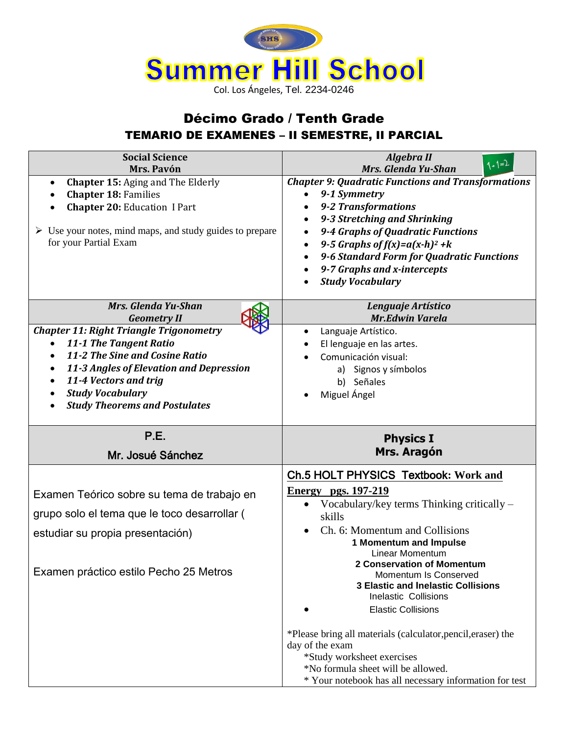

## Décimo Grado / Tenth Grade TEMARIO DE EXAMENES – II SEMESTRE, II PARCIAL

| <b>Social Science</b>                                                                                                                                                                                                                                                       |                                                                                                                                                                                                                                                                                                                                                                            |
|-----------------------------------------------------------------------------------------------------------------------------------------------------------------------------------------------------------------------------------------------------------------------------|----------------------------------------------------------------------------------------------------------------------------------------------------------------------------------------------------------------------------------------------------------------------------------------------------------------------------------------------------------------------------|
| Mrs. Pavón                                                                                                                                                                                                                                                                  | Algebra II<br>$1+1=2$<br>Mrs. Glenda Yu-Shan                                                                                                                                                                                                                                                                                                                               |
| <b>Chapter 15: Aging and The Elderly</b><br><b>Chapter 18: Families</b><br><b>Chapter 20: Education I Part</b><br>$\triangleright$ Use your notes, mind maps, and study guides to prepare<br>for your Partial Exam                                                          | <b>Chapter 9: Quadratic Functions and Transformations</b><br>9-1 Symmetry<br><b>9-2 Transformations</b><br>9-3 Stretching and Shrinking<br>$\bullet$<br>9-4 Graphs of Quadratic Functions<br>$\bullet$<br>9-5 Graphs of $f(x)=a(x-h)^2+k$<br>$\bullet$<br>9-6 Standard Form for Quadratic Functions<br>$\bullet$<br>9-7 Graphs and x-intercepts<br><b>Study Vocabulary</b> |
| Mrs. Glenda Yu-Shan<br><b>Geometry II</b>                                                                                                                                                                                                                                   | Lenguaje Artístico<br><b>Mr.Edwin Varela</b>                                                                                                                                                                                                                                                                                                                               |
| <b>Chapter 11: Right Triangle Trigonometry</b><br>11-1 The Tangent Ratio<br>11-2 The Sine and Cosine Ratio<br>$\bullet$<br>11-3 Angles of Elevation and Depression<br>$\bullet$<br>11-4 Vectors and trig<br><b>Study Vocabulary</b><br><b>Study Theorems and Postulates</b> | Languaje Artístico.<br>El lenguaje en las artes.<br>Comunicación visual:<br>a) Signos y símbolos<br>b) Señales<br>Miguel Ángel                                                                                                                                                                                                                                             |
|                                                                                                                                                                                                                                                                             |                                                                                                                                                                                                                                                                                                                                                                            |
| P.E.<br>Mr. Josué Sánchez                                                                                                                                                                                                                                                   | <b>Physics I</b><br>Mrs. Aragón                                                                                                                                                                                                                                                                                                                                            |
| Examen Teórico sobre su tema de trabajo en<br>grupo solo el tema que le toco desarrollar (<br>estudiar su propia presentación)                                                                                                                                              | Ch.5 HOLT PHYSICS Textbook: Work and<br><b>Energy</b> pgs. 197-219<br>Vocabulary/key terms Thinking critically –<br>skills<br>Ch. 6: Momentum and Collisions<br><b>1 Momentum and Impulse</b><br>Linear Momentum                                                                                                                                                           |
| Examen práctico estilo Pecho 25 Metros                                                                                                                                                                                                                                      | 2 Conservation of Momentum<br>Momentum Is Conserved<br><b>3 Elastic and Inelastic Collisions</b><br>Inelastic Collisions<br><b>Elastic Collisions</b><br>*Please bring all materials (calculator, pencil, eraser) the<br>day of the exam<br>*Study worksheet exercises<br>*No formula sheet will be allowed.                                                               |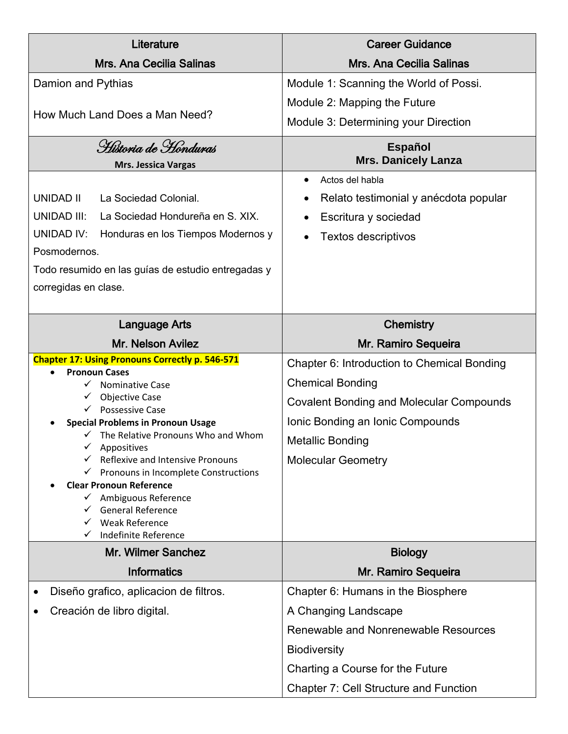| Literature                                                                                  | <b>Career Guidance</b>                          |
|---------------------------------------------------------------------------------------------|-------------------------------------------------|
| <b>Mrs. Ana Cecilia Salinas</b>                                                             | <b>Mrs. Ana Cecilia Salinas</b>                 |
| Damion and Pythias                                                                          | Module 1: Scanning the World of Possi.          |
|                                                                                             | Module 2: Mapping the Future                    |
| How Much Land Does a Man Need?                                                              | Module 3: Determining your Direction            |
| Historia de Honduras                                                                        | <b>Español</b>                                  |
| <b>Mrs. Jessica Vargas</b>                                                                  | <b>Mrs. Danicely Lanza</b>                      |
|                                                                                             | Actos del habla                                 |
| <b>UNIDAD II</b><br>La Sociedad Colonial.                                                   | Relato testimonial y anécdota popular           |
| <b>UNIDAD III:</b><br>La Sociedad Hondureña en S. XIX.                                      | Escritura y sociedad                            |
| <b>UNIDAD IV:</b><br>Honduras en los Tiempos Modernos y                                     | Textos descriptivos                             |
| Posmodernos.                                                                                |                                                 |
| Todo resumido en las guías de estudio entregadas y                                          |                                                 |
| corregidas en clase.                                                                        |                                                 |
|                                                                                             |                                                 |
| <b>Language Arts</b>                                                                        | <b>Chemistry</b>                                |
| Mr. Nelson Avilez                                                                           | Mr. Ramiro Sequeira                             |
| <b>Chapter 17: Using Pronouns Correctly p. 546-571</b>                                      | Chapter 6: Introduction to Chemical Bonding     |
| <b>Pronoun Cases</b><br><b>Nominative Case</b>                                              | <b>Chemical Bonding</b>                         |
| <b>Objective Case</b><br>✓                                                                  |                                                 |
| <b>Possessive Case</b>                                                                      | <b>Covalent Bonding and Molecular Compounds</b> |
| <b>Special Problems in Pronoun Usage</b><br>$\checkmark$ The Relative Pronouns Who and Whom | Ionic Bonding an Ionic Compounds                |
| Appositives                                                                                 | <b>Metallic Bonding</b>                         |
| Reflexive and Intensive Pronouns                                                            | <b>Molecular Geometry</b>                       |
| $\checkmark$ Pronouns in Incomplete Constructions                                           |                                                 |
| <b>Clear Pronoun Reference</b><br>Ambiguous Reference                                       |                                                 |
| General Reference                                                                           |                                                 |
| <b>Weak Reference</b><br>✓                                                                  |                                                 |
| Indefinite Reference                                                                        |                                                 |
| Mr. Wilmer Sanchez                                                                          | <b>Biology</b>                                  |
| <b>Informatics</b>                                                                          | Mr. Ramiro Sequeira                             |
| Diseño grafico, aplicacion de filtros.<br>$\bullet$                                         | Chapter 6: Humans in the Biosphere              |
| Creación de libro digital.                                                                  | A Changing Landscape                            |
|                                                                                             | Renewable and Nonrenewable Resources            |
|                                                                                             | <b>Biodiversity</b>                             |
|                                                                                             | Charting a Course for the Future                |
|                                                                                             | <b>Chapter 7: Cell Structure and Function</b>   |